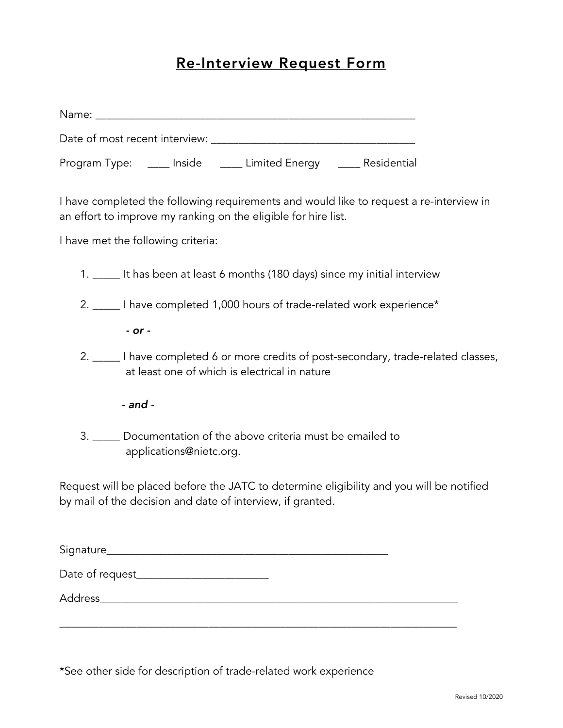## Re-Interview Request Form

\*See other side for description of trade-related work experience